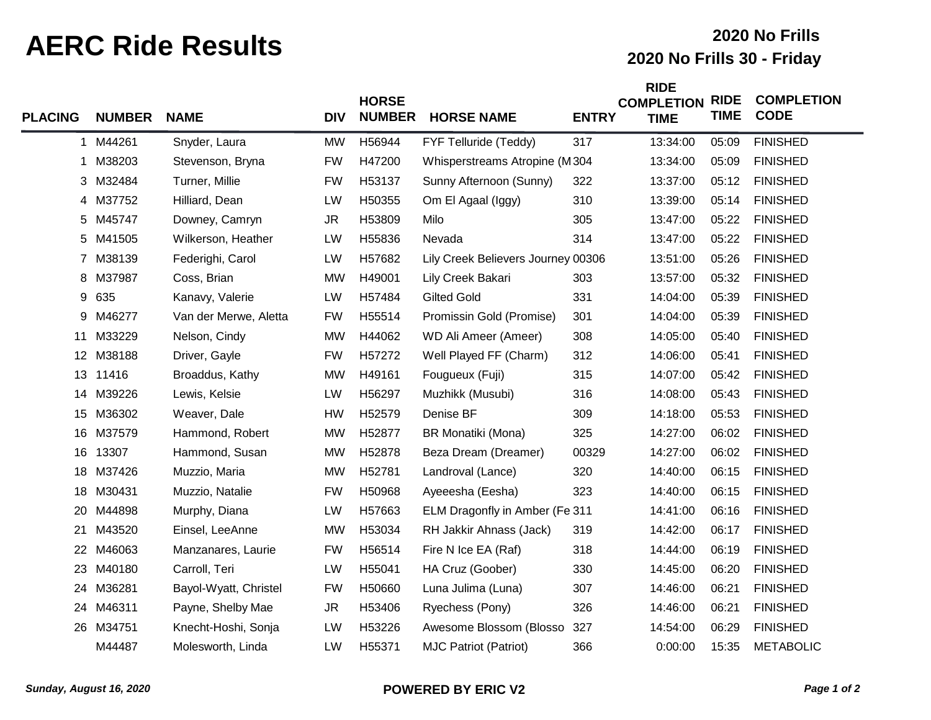## **AERC Ride Results 2020 No Frills 30 - Friday**

## **2020 No Frills**

| <b>PLACING</b> | <b>NUMBER</b> | <b>NAME</b>           | <b>DIV</b> | <b>HORSE</b><br><b>NUMBER</b> | <b>HORSE NAME</b>                  | <b>ENTRY</b> | <b>RIDE</b><br><b>COMPLETION</b><br><b>TIME</b> | <b>RIDE</b><br><b>TIME</b> | <b>COMPLETION</b><br><b>CODE</b> |
|----------------|---------------|-----------------------|------------|-------------------------------|------------------------------------|--------------|-------------------------------------------------|----------------------------|----------------------------------|
|                | 1 M44261      | Snyder, Laura         | <b>MW</b>  | H56944                        | FYF Telluride (Teddy)              | 317          | 13:34:00                                        | 05:09                      | <b>FINISHED</b>                  |
| 1              | M38203        | Stevenson, Bryna      | <b>FW</b>  | H47200                        | Whisperstreams Atropine (M304      |              | 13:34:00                                        | 05:09                      | <b>FINISHED</b>                  |
|                | 3 M32484      | Turner, Millie        | <b>FW</b>  | H53137                        | Sunny Afternoon (Sunny)            | 322          | 13:37:00                                        | 05:12                      | <b>FINISHED</b>                  |
| 4              | M37752        | Hilliard, Dean        | LW         | H50355                        | Om El Agaal (Iggy)                 | 310          | 13:39:00                                        | 05:14                      | <b>FINISHED</b>                  |
|                | 5 M45747      | Downey, Camryn        | <b>JR</b>  | H53809                        | Milo                               | 305          | 13:47:00                                        | 05:22                      | <b>FINISHED</b>                  |
| 5              | M41505        | Wilkerson, Heather    | LW         | H55836                        | Nevada                             | 314          | 13:47:00                                        | 05:22                      | <b>FINISHED</b>                  |
|                | 7 M38139      | Federighi, Carol      | LW         | H57682                        | Lily Creek Believers Journey 00306 |              | 13:51:00                                        | 05:26                      | <b>FINISHED</b>                  |
| 8              | M37987        | Coss, Brian           | <b>MW</b>  | H49001                        | Lily Creek Bakari                  | 303          | 13:57:00                                        | 05:32                      | <b>FINISHED</b>                  |
| 9              | 635           | Kanavy, Valerie       | LW         | H57484                        | <b>Gilted Gold</b>                 | 331          | 14:04:00                                        | 05:39                      | <b>FINISHED</b>                  |
| 9              | M46277        | Van der Merwe, Aletta | <b>FW</b>  | H55514                        | Promissin Gold (Promise)           | 301          | 14:04:00                                        | 05:39                      | <b>FINISHED</b>                  |
| 11             | M33229        | Nelson, Cindy         | <b>MW</b>  | H44062                        | WD Ali Ameer (Ameer)               | 308          | 14:05:00                                        | 05:40                      | <b>FINISHED</b>                  |
| 12             | M38188        | Driver, Gayle         | <b>FW</b>  | H57272                        | Well Played FF (Charm)             | 312          | 14:06:00                                        | 05:41                      | <b>FINISHED</b>                  |
| 13             | 11416         | Broaddus, Kathy       | <b>MW</b>  | H49161                        | Fougueux (Fuji)                    | 315          | 14:07:00                                        | 05:42                      | <b>FINISHED</b>                  |
| 14             | M39226        | Lewis, Kelsie         | LW         | H56297                        | Muzhikk (Musubi)                   | 316          | 14:08:00                                        | 05:43                      | <b>FINISHED</b>                  |
| 15             | M36302        | Weaver, Dale          | <b>HW</b>  | H52579                        | Denise BF                          | 309          | 14:18:00                                        | 05:53                      | <b>FINISHED</b>                  |
| 16             | M37579        | Hammond, Robert       | <b>MW</b>  | H52877                        | BR Monatiki (Mona)                 | 325          | 14:27:00                                        | 06:02                      | <b>FINISHED</b>                  |
| 16             | 13307         | Hammond, Susan        | <b>MW</b>  | H52878                        | Beza Dream (Dreamer)               | 00329        | 14:27:00                                        | 06:02                      | <b>FINISHED</b>                  |
|                | 18 M37426     | Muzzio, Maria         | <b>MW</b>  | H52781                        | Landroval (Lance)                  | 320          | 14:40:00                                        | 06:15                      | <b>FINISHED</b>                  |
| 18             | M30431        | Muzzio, Natalie       | <b>FW</b>  | H50968                        | Ayeeesha (Eesha)                   | 323          | 14:40:00                                        | 06:15                      | <b>FINISHED</b>                  |
|                | 20 M44898     | Murphy, Diana         | LW         | H57663                        | ELM Dragonfly in Amber (Fe 311     |              | 14:41:00                                        | 06:16                      | <b>FINISHED</b>                  |
| 21             | M43520        | Einsel, LeeAnne       | <b>MW</b>  | H53034                        | RH Jakkir Ahnass (Jack)            | 319          | 14:42:00                                        | 06:17                      | <b>FINISHED</b>                  |
|                | 22 M46063     | Manzanares, Laurie    | <b>FW</b>  | H56514                        | Fire N Ice EA (Raf)                | 318          | 14:44:00                                        | 06:19                      | <b>FINISHED</b>                  |
| 23             | M40180        | Carroll, Teri         | LW         | H55041                        | HA Cruz (Goober)                   | 330          | 14:45:00                                        | 06:20                      | <b>FINISHED</b>                  |
|                | 24 M36281     | Bayol-Wyatt, Christel | <b>FW</b>  | H50660                        | Luna Julima (Luna)                 | 307          | 14:46:00                                        | 06:21                      | <b>FINISHED</b>                  |
|                | 24 M46311     | Payne, Shelby Mae     | <b>JR</b>  | H53406                        | Ryechess (Pony)                    | 326          | 14:46:00                                        | 06:21                      | <b>FINISHED</b>                  |
|                | 26 M34751     | Knecht-Hoshi, Sonja   | LW         | H53226                        | Awesome Blossom (Blosso            | 327          | 14:54:00                                        | 06:29                      | <b>FINISHED</b>                  |
|                | M44487        | Molesworth, Linda     | LW         | H55371                        | <b>MJC Patriot (Patriot)</b>       | 366          | 0:00:00                                         | 15:35                      | <b>METABOLIC</b>                 |